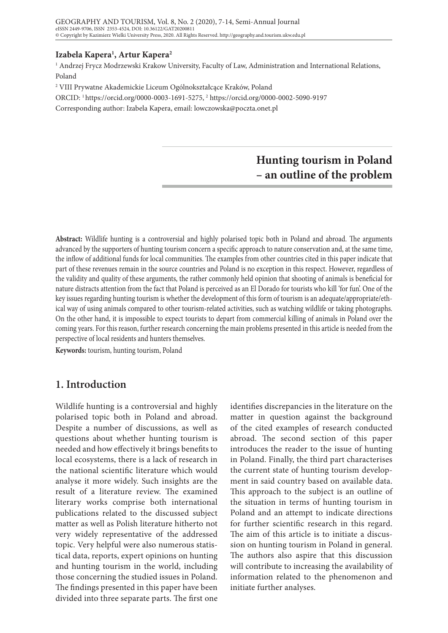## **Izabela Kapera1 , Artur Kapera2**

1 Andrzej Frycz Modrzewski Krakow University, Faculty of Law, Administration and International Relations, Poland

2 VIII Prywatne Akademickie Liceum Ogólnokształcące Kraków, Poland

ORCID: 1 https://orcid.org/0000-0003-1691-5275, 2 https://orcid.org/0000-0002-5090-9197

Corresponding author: Izabela Kapera, email: lowczowska@poczta.onet.pl

# **Hunting tourism in Poland – an outline of the problem**

**Abstract:** Wildlife hunting is a controversial and highly polarised topic both in Poland and abroad. The arguments advanced by the supporters of hunting tourism concern a specific approach to nature conservation and, at the same time, the inflow of additional funds for local communities. The examples from other countries cited in this paper indicate that part of these revenues remain in the source countries and Poland is no exception in this respect. However, regardless of the validity and quality of these arguments, the rather commonly held opinion that shooting of animals is beneficial for nature distracts attention from the fact that Poland is perceived as an El Dorado for tourists who kill 'for fun'. One of the key issues regarding hunting tourism is whether the development of this form of tourism is an adequate/appropriate/ethical way of using animals compared to other tourism-related activities, such as watching wildlife or taking photographs. On the other hand, it is impossible to expect tourists to depart from commercial killing of animals in Poland over the coming years. For this reason, further research concerning the main problems presented in this article is needed from the perspective of local residents and hunters themselves.

**Keywords:** tourism, hunting tourism, Poland

## **1. Introduction**

Wildlife hunting is a controversial and highly polarised topic both in Poland and abroad. Despite a number of discussions, as well as questions about whether hunting tourism is needed and how effectively it brings benefits to local ecosystems, there is a lack of research in the national scientific literature which would analyse it more widely. Such insights are the result of a literature review. The examined literary works comprise both international publications related to the discussed subject matter as well as Polish literature hitherto not very widely representative of the addressed topic. Very helpful were also numerous statistical data, reports, expert opinions on hunting and hunting tourism in the world, including those concerning the studied issues in Poland. The findings presented in this paper have been divided into three separate parts. The first one

identifies discrepancies in the literature on the matter in question against the background of the cited examples of research conducted abroad. The second section of this paper introduces the reader to the issue of hunting in Poland. Finally, the third part characterises the current state of hunting tourism development in said country based on available data. This approach to the subject is an outline of the situation in terms of hunting tourism in Poland and an attempt to indicate directions for further scientific research in this regard. The aim of this article is to initiate a discussion on hunting tourism in Poland in general. The authors also aspire that this discussion will contribute to increasing the availability of information related to the phenomenon and initiate further analyses.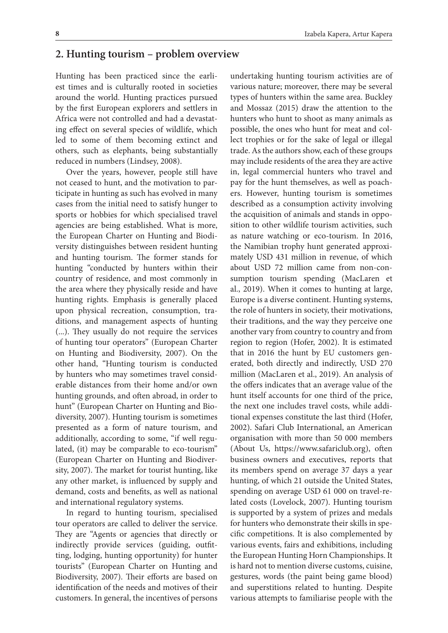## **2. Hunting tourism – problem overview**

Hunting has been practiced since the earliest times and is culturally rooted in societies around the world. Hunting practices pursued by the first European explorers and settlers in Africa were not controlled and had a devastating effect on several species of wildlife, which led to some of them becoming extinct and others, such as elephants, being substantially reduced in numbers (Lindsey, 2008).

Over the years, however, people still have not ceased to hunt, and the motivation to participate in hunting as such has evolved in many cases from the initial need to satisfy hunger to sports or hobbies for which specialised travel agencies are being established. What is more, the European Charter on Hunting and Biodiversity distinguishes between resident hunting and hunting tourism. The former stands for hunting "conducted by hunters within their country of residence, and most commonly in the area where they physically reside and have hunting rights. Emphasis is generally placed upon physical recreation, consumption, traditions, and management aspects of hunting (...). They usually do not require the services of hunting tour operators" (European Charter on Hunting and Biodiversity, 2007). On the other hand, "Hunting tourism is conducted by hunters who may sometimes travel considerable distances from their home and/or own hunting grounds, and often abroad, in order to hunt" (European Charter on Hunting and Biodiversity, 2007). Hunting tourism is sometimes presented as a form of nature tourism, and additionally, according to some, "if well regulated, (it) may be comparable to eco-tourism" (European Charter on Hunting and Biodiversity, 2007). The market for tourist hunting, like any other market, is influenced by supply and demand, costs and benefits, as well as national and international regulatory systems.

In regard to hunting tourism, specialised tour operators are called to deliver the service. They are "Agents or agencies that directly or indirectly provide services (guiding, outfitting, lodging, hunting opportunity) for hunter tourists" (European Charter on Hunting and Biodiversity, 2007). Their efforts are based on identification of the needs and motives of their customers. In general, the incentives of persons

undertaking hunting tourism activities are of various nature; moreover, there may be several types of hunters within the same area. Buckley and Mossaz (2015) draw the attention to the hunters who hunt to shoot as many animals as possible, the ones who hunt for meat and collect trophies or for the sake of legal or illegal trade. As the authors show, each of these groups may include residents of the area they are active in, legal commercial hunters who travel and pay for the hunt themselves, as well as poachers. However, hunting tourism is sometimes described as a consumption activity involving the acquisition of animals and stands in opposition to other wildlife tourism activities, such as nature watching or eco-tourism. In 2016, the Namibian trophy hunt generated approximately USD 431 million in revenue, of which about USD 72 million came from non-consumption tourism spending (MacLaren et al., 2019). When it comes to hunting at large, Europe is a diverse continent. Hunting systems, the role of hunters in society, their motivations, their traditions, and the way they perceive one another vary from country to country and from region to region (Hofer, 2002). It is estimated that in 2016 the hunt by EU customers generated, both directly and indirectly, USD 270 million (MacLaren et al., 2019). An analysis of the offers indicates that an average value of the hunt itself accounts for one third of the price, the next one includes travel costs, while additional expenses constitute the last third (Hofer, 2002). Safari Club International, an American organisation with more than 50 000 members (About Us, https://www.safariclub.org), often business owners and executives, reports that its members spend on average 37 days a year hunting, of which 21 outside the United States, spending on average USD 61 000 on travel-related costs (Lovelock, 2007). Hunting tourism is supported by a system of prizes and medals for hunters who demonstrate their skills in specific competitions. It is also complemented by various events, fairs and exhibitions, including the European Hunting Horn Championships. It is hard not to mention diverse customs, cuisine, gestures, words (the paint being game blood) and superstitions related to hunting. Despite various attempts to familiarise people with the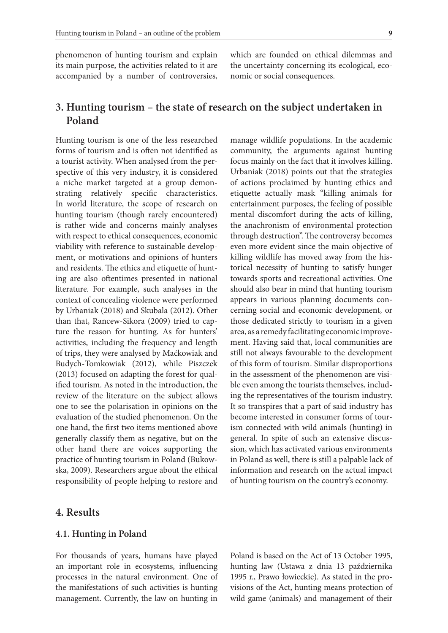phenomenon of hunting tourism and explain its main purpose, the activities related to it are accompanied by a number of controversies,

which are founded on ethical dilemmas and the uncertainty concerning its ecological, economic or social consequences.

manage wildlife populations. In the academic community, the arguments against hunting focus mainly on the fact that it involves killing.

## **3. Hunting tourism – the state of research on the subject undertaken in Poland**

Hunting tourism is one of the less researched forms of tourism and is often not identified as a tourist activity. When analysed from the perspective of this very industry, it is considered a niche market targeted at a group demonstrating relatively specific characteristics. In world literature, the scope of research on hunting tourism (though rarely encountered) is rather wide and concerns mainly analyses with respect to ethical consequences, economic viability with reference to sustainable development, or motivations and opinions of hunters and residents. The ethics and etiquette of hunting are also oftentimes presented in national literature. For example, such analyses in the context of concealing violence were performed by Urbaniak (2018) and Skubala (2012). Other than that, Rancew-Sikora (2009) tried to capture the reason for hunting. As for hunters' activities, including the frequency and length of trips, they were analysed by Maćkowiak and Budych-Tomkowiak (2012), while Piszczek (2013) focused on adapting the forest for qualified tourism. As noted in the introduction, the review of the literature on the subject allows one to see the polarisation in opinions on the evaluation of the studied phenomenon. On the one hand, the first two items mentioned above generally classify them as negative, but on the other hand there are voices supporting the practice of hunting tourism in Poland (Bukowska, 2009). Researchers argue about the ethical responsibility of people helping to restore and

Urbaniak (2018) points out that the strategies of actions proclaimed by hunting ethics and etiquette actually mask "killing animals for entertainment purposes, the feeling of possible mental discomfort during the acts of killing, the anachronism of environmental protection through destruction". The controversy becomes even more evident since the main objective of killing wildlife has moved away from the historical necessity of hunting to satisfy hunger towards sports and recreational activities. One should also bear in mind that hunting tourism appears in various planning documents concerning social and economic development, or those dedicated strictly to tourism in a given area, as a remedy facilitating economic improvement. Having said that, local communities are still not always favourable to the development of this form of tourism. Similar disproportions in the assessment of the phenomenon are visible even among the tourists themselves, including the representatives of the tourism industry. It so transpires that a part of said industry has become interested in consumer forms of tourism connected with wild animals (hunting) in general. In spite of such an extensive discussion, which has activated various environments in Poland as well, there is still a palpable lack of information and research on the actual impact of hunting tourism on the country's economy.

## **4. Results**

#### **4.1. Hunting in Poland**

For thousands of years, humans have played an important role in ecosystems, influencing processes in the natural environment. One of the manifestations of such activities is hunting management. Currently, the law on hunting in

Poland is based on the Act of 13 October 1995, hunting law (Ustawa z dnia 13 października 1995 r., Prawo łowieckie). As stated in the provisions of the Act, hunting means protection of wild game (animals) and management of their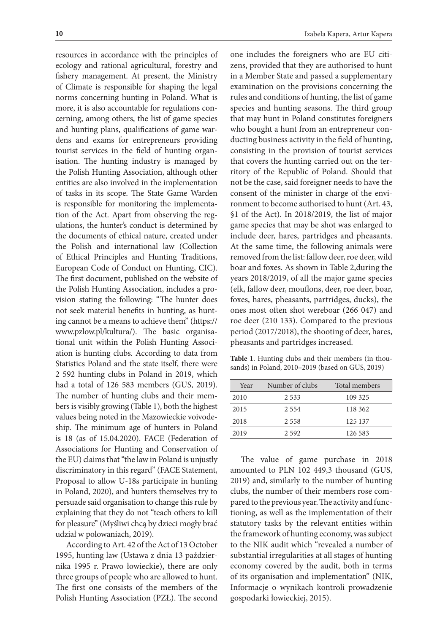resources in accordance with the principles of ecology and rational agricultural, forestry and fishery management. At present, the Ministry of Climate is responsible for shaping the legal norms concerning hunting in Poland. What is more, it is also accountable for regulations concerning, among others, the list of game species and hunting plans, qualifications of game wardens and exams for entrepreneurs providing tourist services in the field of hunting organisation. The hunting industry is managed by the Polish Hunting Association, although other entities are also involved in the implementation of tasks in its scope. The State Game Warden is responsible for monitoring the implementation of the Act. Apart from observing the regulations, the hunter's conduct is determined by the documents of ethical nature, created under the Polish and international law (Collection of Ethical Principles and Hunting Traditions, European Code of Conduct on Hunting, CIC). The first document, published on the website of the Polish Hunting Association, includes a provision stating the following: "The hunter does not seek material benefits in hunting, as hunting cannot be a means to achieve them" (https:// www.pzlow.pl/kultura/). The basic organisational unit within the Polish Hunting Association is hunting clubs. According to data from Statistics Poland and the state itself, there were 2 592 hunting clubs in Poland in 2019, which had a total of 126 583 members (GUS, 2019). The number of hunting clubs and their members is visibly growing (Table 1), both the highest values being noted in the Mazowieckie voivodeship. The minimum age of hunters in Poland is 18 (as of 15.04.2020). FACE (Federation of Associations for Hunting and Conservation of the EU) claims that "the law in Poland is unjustly discriminatory in this regard" (FACE Statement, Proposal to allow U-18s participate in hunting in Poland, 2020), and hunters themselves try to persuade said organisation to change this rule by explaining that they do not "teach others to kill for pleasure" (Myśliwi chcą by dzieci mogły brać udział w polowaniach, 2019).

According to Art. 42 of the Act of 13 October 1995, hunting law (Ustawa z dnia 13 października 1995 r. Prawo łowieckie), there are only three groups of people who are allowed to hunt. The first one consists of the members of the Polish Hunting Association (PZŁ). The second

one includes the foreigners who are EU citizens, provided that they are authorised to hunt in a Member State and passed a supplementary examination on the provisions concerning the rules and conditions of hunting, the list of game species and hunting seasons. The third group that may hunt in Poland constitutes foreigners who bought a hunt from an entrepreneur conducting business activity in the field of hunting, consisting in the provision of tourist services that covers the hunting carried out on the territory of the Republic of Poland. Should that not be the case, said foreigner needs to have the consent of the minister in charge of the environment to become authorised to hunt (Art. 43, §1 of the Act). In 2018/2019, the list of major game species that may be shot was enlarged to include deer, hares, partridges and pheasants. At the same time, the following animals were removed from the list: fallow deer, roe deer, wild boar and foxes. As shown in Table 2,during the years 2018/2019, of all the major game species (elk, fallow deer, mouflons, deer, roe deer, boar, foxes, hares, pheasants, partridges, ducks), the ones most often shot wereboar (266 047) and roe deer (210 133). Compared to the previous period (2017/2018), the shooting of deer, hares, pheasants and partridges increased.

**Table 1**. Hunting clubs and their members (in thousands) in Poland, 2010–2019 (based on GUS, 2019)

| Year | Number of clubs | Total members |
|------|-----------------|---------------|
| 2010 | 2 5 3 3         | 109 325       |
| 2015 | 2.554           | 118 362       |
| 2018 | 2 5 5 8         | 125 137       |
| 2019 | 2.592           | 126 583       |
|      |                 |               |

The value of game purchase in 2018 amounted to PLN 102 449,3 thousand (GUS, 2019) and, similarly to the number of hunting clubs, the number of their members rose compared to the previous year. The activity and functioning, as well as the implementation of their statutory tasks by the relevant entities within the framework of hunting economy, was subject to the NIK audit which "revealed a number of substantial irregularities at all stages of hunting economy covered by the audit, both in terms of its organisation and implementation" (NIK, Informacje o wynikach kontroli prowadzenie gospodarki łowieckiej, 2015).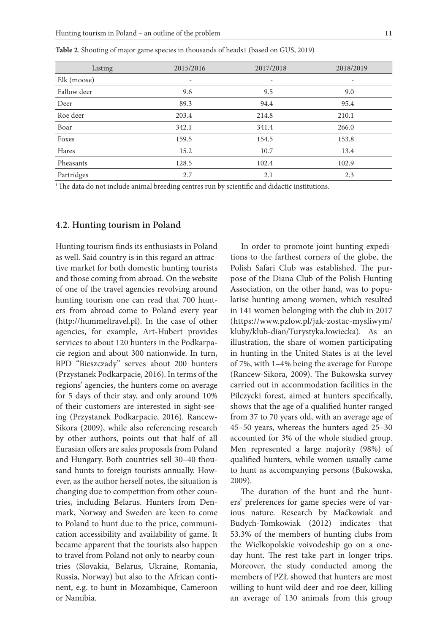| Listing     | 2015/2016 | 2017/2018 | 2018/2019 |
|-------------|-----------|-----------|-----------|
| Elk (moose) |           |           |           |
| Fallow deer | 9.6       | 9.5       | 9.0       |
| Deer        | 89.3      | 94.4      | 95.4      |
| Roe deer    | 203.4     | 214.8     | 210.1     |
| Boar        | 342.1     | 341.4     | 266.0     |
| Foxes       | 159.5     | 154.5     | 153.8     |
| Hares       | 15.2      | 10.7      | 13.4      |
| Pheasants   | 128.5     | 102.4     | 102.9     |
| Partridges  | 2.7       | 2.1       | 2.3       |

**Table 2**. Shooting of major game species in thousands of heads1 (based on GUS, 2019)

<sup>1</sup>The data do not include animal breeding centres run by scientific and didactic institutions.

#### **4.2. Hunting tourism in Poland**

Hunting tourism finds its enthusiasts in Poland as well. Said country is in this regard an attractive market for both domestic hunting tourists and those coming from abroad. On the website of one of the travel agencies revolving around hunting tourism one can read that 700 hunters from abroad come to Poland every year (http://hummeltravel.pl). In the case of other agencies, for example, Art-Hubert provides services to about 120 hunters in the Podkarpacie region and about 300 nationwide. In turn, BPD "Bieszczady" serves about 200 hunters (Przystanek Podkarpacie, 2016). In terms of the regions' agencies, the hunters come on average for 5 days of their stay, and only around 10% of their customers are interested in sight-seeing (Przystanek Podkarpacie, 2016). Rancew-Sikora (2009), while also referencing research by other authors, points out that half of all Eurasian offers are sales proposals from Poland and Hungary. Both countries sell 30–40 thousand hunts to foreign tourists annually. However, as the author herself notes, the situation is changing due to competition from other countries, including Belarus. Hunters from Denmark, Norway and Sweden are keen to come to Poland to hunt due to the price, communication accessibility and availability of game. It became apparent that the tourists also happen to travel from Poland not only to nearby countries (Slovakia, Belarus, Ukraine, Romania, Russia, Norway) but also to the African continent, e.g. to hunt in Mozambique, Cameroon or Namibia.

In order to promote joint hunting expeditions to the farthest corners of the globe, the Polish Safari Club was established. The purpose of the Diana Club of the Polish Hunting Association, on the other hand, was to popularise hunting among women, which resulted in 141 women belonging with the club in 2017 (https://www.pzlow.pl/jak-zostac-mysliwym/ kluby/klub-dian/Turystyka.łowiecka). As an illustration, the share of women participating in hunting in the United States is at the level of 7%, with 1–4% being the average for Europe (Rancew-Sikora, 2009). The Bukowska survey carried out in accommodation facilities in the Pilczycki forest, aimed at hunters specifically, shows that the age of a qualified hunter ranged from 37 to 70 years old, with an average age of 45–50 years, whereas the hunters aged 25–30 accounted for 3% of the whole studied group. Men represented a large majority (98%) of qualified hunters, while women usually came to hunt as accompanying persons (Bukowska, 2009).

The duration of the hunt and the hunters' preferences for game species were of various nature. Research by Maćkowiak and Budych-Tomkowiak (2012) indicates that 53.3% of the members of hunting clubs from the Wielkopolskie voivodeship go on a oneday hunt. The rest take part in longer trips. Moreover, the study conducted among the members of PZŁ showed that hunters are most willing to hunt wild deer and roe deer, killing an average of 130 animals from this group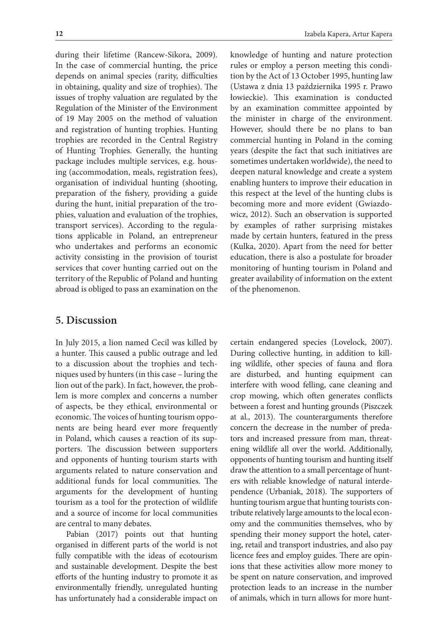during their lifetime (Rancew-Sikora, 2009). In the case of commercial hunting, the price depends on animal species (rarity, difficulties in obtaining, quality and size of trophies). The issues of trophy valuation are regulated by the Regulation of the Minister of the Environment of 19 May 2005 on the method of valuation and registration of hunting trophies. Hunting trophies are recorded in the Central Registry of Hunting Trophies. Generally, the hunting package includes multiple services, e.g. housing (accommodation, meals, registration fees), organisation of individual hunting (shooting, preparation of the fishery, providing a guide during the hunt, initial preparation of the trophies, valuation and evaluation of the trophies, transport services). According to the regulations applicable in Poland, an entrepreneur who undertakes and performs an economic activity consisting in the provision of tourist services that cover hunting carried out on the territory of the Republic of Poland and hunting abroad is obliged to pass an examination on the

### **5. Discussion**

In July 2015, a lion named Cecil was killed by a hunter. This caused a public outrage and led to a discussion about the trophies and techniques used by hunters (in this case – luring the lion out of the park). In fact, however, the problem is more complex and concerns a number of aspects, be they ethical, environmental or economic. The voices of hunting tourism opponents are being heard ever more frequently in Poland, which causes a reaction of its supporters. The discussion between supporters and opponents of hunting tourism starts with arguments related to nature conservation and additional funds for local communities. The arguments for the development of hunting tourism as a tool for the protection of wildlife and a source of income for local communities are central to many debates.

Pabian (2017) points out that hunting organised in different parts of the world is not fully compatible with the ideas of ecotourism and sustainable development. Despite the best efforts of the hunting industry to promote it as environmentally friendly, unregulated hunting has unfortunately had a considerable impact on knowledge of hunting and nature protection rules or employ a person meeting this condition by the Act of 13 October 1995, hunting law (Ustawa z dnia 13 października 1995 r. Prawo łowieckie). This examination is conducted by an examination committee appointed by the minister in charge of the environment. However, should there be no plans to ban commercial hunting in Poland in the coming years (despite the fact that such initiatives are sometimes undertaken worldwide), the need to deepen natural knowledge and create a system enabling hunters to improve their education in this respect at the level of the hunting clubs is becoming more and more evident (Gwiazdowicz, 2012). Such an observation is supported by examples of rather surprising mistakes made by certain hunters, featured in the press (Kulka, 2020). Apart from the need for better education, there is also a postulate for broader monitoring of hunting tourism in Poland and greater availability of information on the extent of the phenomenon.

certain endangered species (Lovelock, 2007). During collective hunting, in addition to killing wildlife, other species of fauna and flora are disturbed, and hunting equipment can interfere with wood felling, cane cleaning and crop mowing, which often generates conflicts between a forest and hunting grounds (Piszczek at al., 2013). The counterarguments therefore concern the decrease in the number of predators and increased pressure from man, threatening wildlife all over the world. Additionally, opponents of hunting tourism and hunting itself draw the attention to a small percentage of hunters with reliable knowledge of natural interdependence (Urbaniak, 2018). The supporters of hunting tourism argue that hunting tourists contribute relatively large amounts to the local economy and the communities themselves, who by spending their money support the hotel, catering, retail and transport industries, and also pay licence fees and employ guides. There are opinions that these activities allow more money to be spent on nature conservation, and improved protection leads to an increase in the number of animals, which in turn allows for more hunt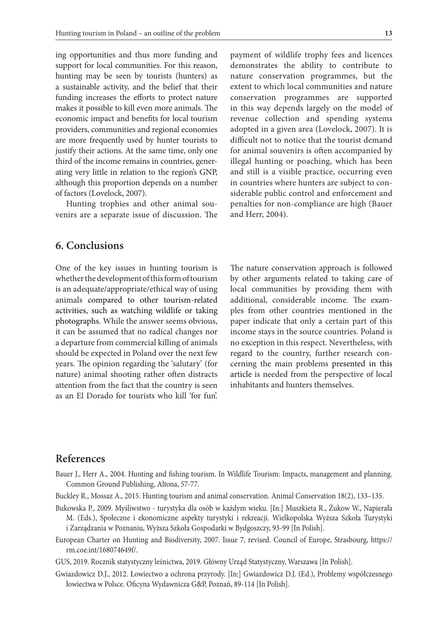ing opportunities and thus more funding and support for local communities. For this reason, hunting may be seen by tourists (hunters) as a sustainable activity, and the belief that their funding increases the efforts to protect nature makes it possible to kill even more animals. The economic impact and benefits for local tourism providers, communities and regional economies are more frequently used by hunter tourists to justify their actions. At the same time, only one third of the income remains in countries, generating very little in relation to the region's GNP, although this proportion depends on a number of factors (Lovelock, 2007).

Hunting trophies and other animal souvenirs are a separate issue of discussion. The

## **6. Conclusions**

One of the key issues in hunting tourism is whether the development of this form of tourism is an adequate/appropriate/ethical way of using animals compared to other tourism-related activities, such as watching wildlife or taking photographs. While the answer seems obvious, it can be assumed that no radical changes nor a departure from commercial killing of animals should be expected in Poland over the next few years. The opinion regarding the 'salutary' (for nature) animal shooting rather often distracts attention from the fact that the country is seen as an El Dorado for tourists who kill 'for fun'.

payment of wildlife trophy fees and licences demonstrates the ability to contribute to nature conservation programmes, but the extent to which local communities and nature conservation programmes are supported in this way depends largely on the model of revenue collection and spending systems adopted in a given area (Lovelock, 2007). It is difficult not to notice that the tourist demand for animal souvenirs is often accompanied by illegal hunting or poaching, which has been and still is a visible practice, occurring even in countries where hunters are subject to considerable public control and enforcement and penalties for non-compliance are high (Bauer and Herr, 2004).

The nature conservation approach is followed by other arguments related to taking care of local communities by providing them with additional, considerable income. The examples from other countries mentioned in the paper indicate that only a certain part of this income stays in the source countries. Poland is no exception in this respect. Nevertheless, with regard to the country, further research concerning the main problems presented in this article is needed from the perspective of local inhabitants and hunters themselves.

## **References**

Bauer J., Herr A., 2004. Hunting and fishing tourism. In Wildlife Tourism: Impacts, management and planning. Common Ground Publishing, Altona, 57-77.

Buckley R., Mossaz A., 2015. Hunting tourism and animal conservation. Animal Conservation 18(2), 133–135.

- Bukowska P., 2009. Myśliwstwo turystyka dla osób w każdym wieku. [In:] Muszkieta R., Żukow W., Napierała M. (Eds.), Społeczne i ekonomiczne aspekty turystyki i rekreacji. Wielkopolska Wyższa Szkoła Turystyki i Zarządzania w Poznaniu, Wyższa Szkoła Gospodarki w Bydgoszczy, 93-99 [In Polish].
- European Charter on Hunting and Biodiversity, 2007. Issue 7, revised. Council of Europe, Strasbourg, https:// rm.coe.int/168074649f/.
- GUS, 2019. Rocznik statystyczny leśnictwa, 2019. Główny Urząd Statystyczny, Warszawa [In Polish].
- Gwiazdowicz D.J., 2012. Łowiectwo a ochrona przyrody. [In:] Gwiazdowicz D.J. (Ed.), Problemy współczesnego łowiectwa w Polsce. Oficyna Wydawnicza G&P, Poznań, 89-114 [In Polish].